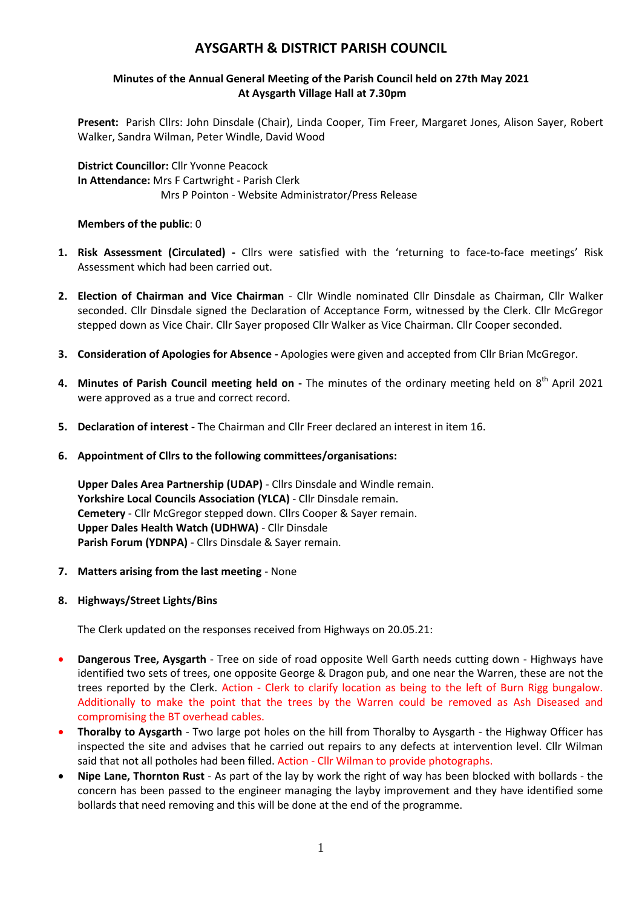# **AYSGARTH & DISTRICT PARISH COUNCIL**

# **Minutes of the Annual General Meeting of the Parish Council held on 27th May 2021 At Aysgarth Village Hall at 7.30pm**

**Present:** Parish Cllrs: John Dinsdale (Chair), Linda Cooper, Tim Freer, Margaret Jones, Alison Sayer, Robert Walker, Sandra Wilman, Peter Windle, David Wood

**District Councillor:** Cllr Yvonne Peacock **In Attendance:** Mrs F Cartwright - Parish Clerk Mrs P Pointon - Website Administrator/Press Release

#### **Members of the public**: 0

- **1. Risk Assessment (Circulated) -** Cllrs were satisfied with the 'returning to face-to-face meetings' Risk Assessment which had been carried out.
- **2. Election of Chairman and Vice Chairman**  Cllr Windle nominated Cllr Dinsdale as Chairman, Cllr Walker seconded. Cllr Dinsdale signed the Declaration of Acceptance Form, witnessed by the Clerk. Cllr McGregor stepped down as Vice Chair. Cllr Sayer proposed Cllr Walker as Vice Chairman. Cllr Cooper seconded.
- **3. Consideration of Apologies for Absence -** Apologies were given and accepted from Cllr Brian McGregor.
- 4. Minutes of Parish Council meeting held on The minutes of the ordinary meeting held on 8<sup>th</sup> April 2021 were approved as a true and correct record.
- **5. Declaration of interest -** The Chairman and Cllr Freer declared an interest in item 16.
- **6. Appointment of Cllrs to the following committees/organisations:**

**Upper Dales Area Partnership (UDAP)** - Cllrs Dinsdale and Windle remain. **Yorkshire Local Councils Association (YLCA)** - Cllr Dinsdale remain. **Cemetery** - Cllr McGregor stepped down. Cllrs Cooper & Sayer remain. **Upper Dales Health Watch (UDHWA)** - Cllr Dinsdale **Parish Forum (YDNPA)** - Cllrs Dinsdale & Sayer remain.

- **7. Matters arising from the last meeting** None
- **8. Highways/Street Lights/Bins**

The Clerk updated on the responses received from Highways on 20.05.21:

- **Dangerous Tree, Aysgarth** Tree on side of road opposite Well Garth needs cutting down Highways have identified two sets of trees, one opposite George & Dragon pub, and one near the Warren, these are not the trees reported by the Clerk. Action - Clerk to clarify location as being to the left of Burn Rigg bungalow. Additionally to make the point that the trees by the Warren could be removed as Ash Diseased and compromising the BT overhead cables.
- **Thoralby to Aysgarth** Two large pot holes on the hill from Thoralby to Aysgarth the Highway Officer has inspected the site and advises that he carried out repairs to any defects at intervention level. Cllr Wilman said that not all potholes had been filled. Action - Cllr Wilman to provide photographs.
- **Nipe Lane, Thornton Rust** As part of the lay by work the right of way has been blocked with bollards the concern has been passed to the engineer managing the layby improvement and they have identified some bollards that need removing and this will be done at the end of the programme.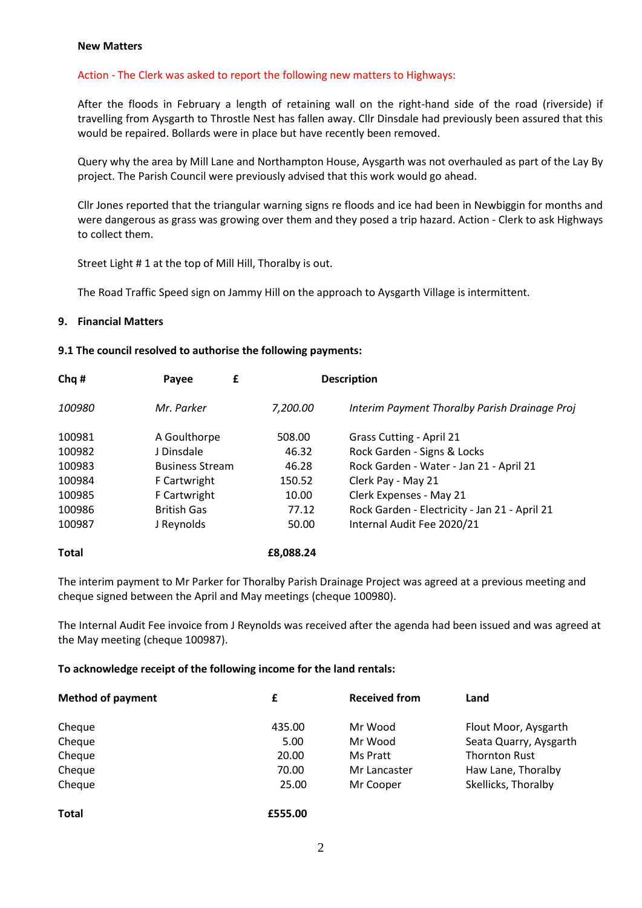#### **New Matters**

#### Action - The Clerk was asked to report the following new matters to Highways:

After the floods in February a length of retaining wall on the right-hand side of the road (riverside) if travelling from Aysgarth to Throstle Nest has fallen away. Cllr Dinsdale had previously been assured that this would be repaired. Bollards were in place but have recently been removed.

Query why the area by Mill Lane and Northampton House, Aysgarth was not overhauled as part of the Lay By project. The Parish Council were previously advised that this work would go ahead.

Cllr Jones reported that the triangular warning signs re floods and ice had been in Newbiggin for months and were dangerous as grass was growing over them and they posed a trip hazard. Action - Clerk to ask Highways to collect them.

Street Light # 1 at the top of Mill Hill, Thoralby is out.

The Road Traffic Speed sign on Jammy Hill on the approach to Aysgarth Village is intermittent.

#### **9. Financial Matters**

#### **9.1 The council resolved to authorise the following payments:**

| Chq#         | £<br>Payee             |           | <b>Description</b>                            |  |
|--------------|------------------------|-----------|-----------------------------------------------|--|
| 100980       | Mr. Parker             | 7,200.00  | Interim Payment Thoralby Parish Drainage Proj |  |
| 100981       | A Goulthorpe           | 508.00    | <b>Grass Cutting - April 21</b>               |  |
| 100982       | J Dinsdale             | 46.32     | Rock Garden - Signs & Locks                   |  |
| 100983       | <b>Business Stream</b> | 46.28     | Rock Garden - Water - Jan 21 - April 21       |  |
| 100984       | F Cartwright           | 150.52    | Clerk Pay - May 21                            |  |
| 100985       | F Cartwright           | 10.00     | Clerk Expenses - May 21                       |  |
| 100986       | <b>British Gas</b>     | 77.12     | Rock Garden - Electricity - Jan 21 - April 21 |  |
| 100987       | J Reynolds             | 50.00     | Internal Audit Fee 2020/21                    |  |
| <b>Total</b> |                        | £8,088.24 |                                               |  |

The interim payment to Mr Parker for Thoralby Parish Drainage Project was agreed at a previous meeting and cheque signed between the April and May meetings (cheque 100980).

The Internal Audit Fee invoice from J Reynolds was received after the agenda had been issued and was agreed at the May meeting (cheque 100987).

#### **To acknowledge receipt of the following income for the land rentals:**

| <b>Method of payment</b> | £       | <b>Received from</b> | Land                   |
|--------------------------|---------|----------------------|------------------------|
| Cheque                   | 435.00  | Mr Wood              | Flout Moor, Aysgarth   |
| Cheque                   | 5.00    | Mr Wood              | Seata Quarry, Aysgarth |
| Cheque                   | 20.00   | Ms Pratt             | <b>Thornton Rust</b>   |
| Cheque                   | 70.00   | Mr Lancaster         | Haw Lane, Thoralby     |
| Cheque                   | 25.00   | Mr Cooper            | Skellicks, Thoralby    |
| <b>Total</b>             | £555.00 |                      |                        |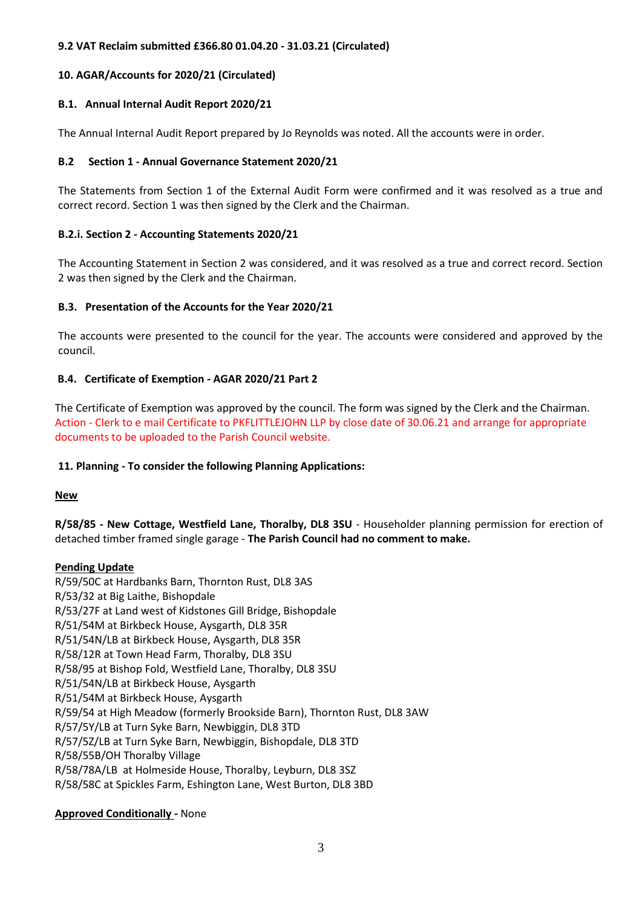# **9.2 VAT Reclaim submitted £366.80 01.04.20 - 31.03.21 (Circulated)**

# **10. AGAR/Accounts for 2020/21 (Circulated)**

# **B.1. Annual Internal Audit Report 2020/21**

The Annual Internal Audit Report prepared by Jo Reynolds was noted. All the accounts were in order.

# **B.2 Section 1 - Annual Governance Statement 2020/21**

The Statements from Section 1 of the External Audit Form were confirmed and it was resolved as a true and correct record. Section 1 was then signed by the Clerk and the Chairman.

# **B.2.i. Section 2 - Accounting Statements 2020/21**

The Accounting Statement in Section 2 was considered, and it was resolved as a true and correct record. Section 2 was then signed by the Clerk and the Chairman.

# **B.3. Presentation of the Accounts for the Year 2020/21**

The accounts were presented to the council for the year. The accounts were considered and approved by the council.

# **B.4. Certificate of Exemption - AGAR 2020/21 Part 2**

The Certificate of Exemption was approved by the council. The form was signed by the Clerk and the Chairman. Action - Clerk to e mail Certificate to PKFLITTLEJOHN LLP by close date of 30.06.21 and arrange for appropriate documents to be uploaded to the Parish Council website.

#### **11. Planning - To consider the following Planning Applications:**

**New** 

**R/58/85 - New Cottage, Westfield Lane, Thoralby, DL8 3SU** - Householder planning permission for erection of detached timber framed single garage - **The Parish Council had no comment to make.**

#### **Pending Update**

R/59/50C at Hardbanks Barn, Thornton Rust, DL8 3AS R/53/32 at Big Laithe, Bishopdale R/53/27F at Land west of Kidstones Gill Bridge, Bishopdale R/51/54M at Birkbeck House, Aysgarth, DL8 35R R/51/54N/LB at Birkbeck House, Aysgarth, DL8 35R R/58/12R at Town Head Farm, Thoralby, DL8 3SU R/58/95 at Bishop Fold, Westfield Lane, Thoralby, DL8 3SU R/51/54N/LB at Birkbeck House, Aysgarth R/51/54M at Birkbeck House, Aysgarth R/59/54 at High Meadow (formerly Brookside Barn), Thornton Rust, DL8 3AW R/57/5Y/LB at Turn Syke Barn, Newbiggin, DL8 3TD R/57/5Z/LB at Turn Syke Barn, Newbiggin, Bishopdale, DL8 3TD R/58/55B/OH Thoralby Village R/58/78A/LB at Holmeside House, Thoralby, Leyburn, DL8 3SZ R/58/58C at Spickles Farm, Eshington Lane, West Burton, DL8 3BD

# **Approved Conditionally -** None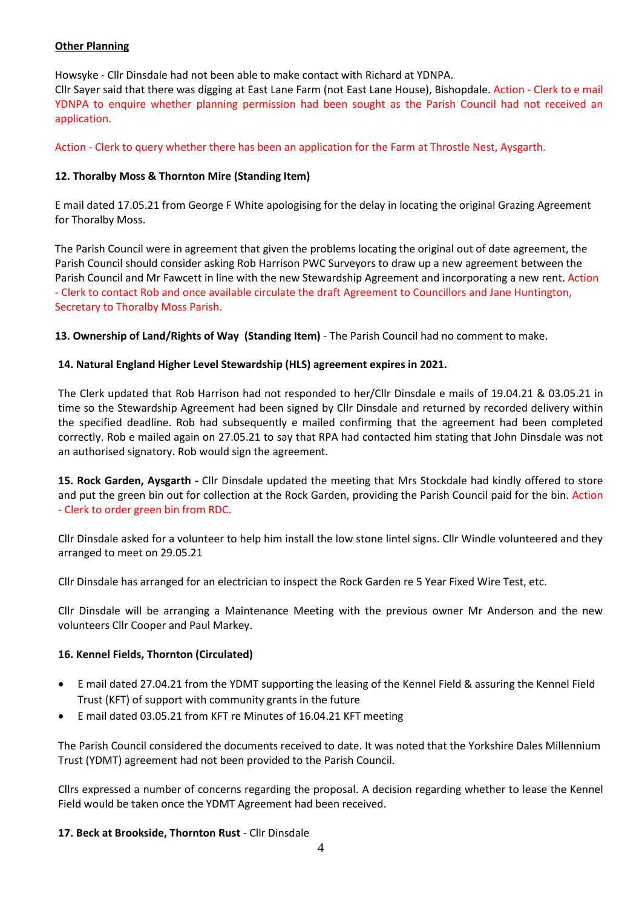# **Other Planning**

Howsyke - Cllr Dinsdale had not been able to make contact with Richard at YDNPA. Cllr Sayer said that there was digging at East Lane Farm (not East Lane House), Bishopdale. Action - Clerk to e mail YDNPA to enquire whether planning permission had been sought as the Parish Council had not received an application.

Action - Clerk to query whether there has been an application for the Farm at Throstle Nest, Aysgarth.

# **12. Thoralby Moss & Thornton Mire (Standing Item)**

E mail dated 17.05.21 from George F White apologising for the delay in locating the original Grazing Agreement for Thoralby Moss.

The Parish Council were in agreement that given the problems locating the original out of date agreement, the Parish Council should consider asking Rob Harrison PWC Surveyors to draw up a new agreement between the Parish Council and Mr Fawcett in line with the new Stewardship Agreement and incorporating a new rent. Action - Clerk to contact Rob and once available circulate the draft Agreement to Councillors and Jane Huntington, Secretary to Thoralby Moss Parish.

**13. Ownership of Land/Rights of Way (Standing Item)** - The Parish Council had no comment to make.

# **14. Natural England Higher Level Stewardship (HLS) agreement expires in 2021.**

The Clerk updated that Rob Harrison had not responded to her/Cllr Dinsdale e mails of 19.04.21 & 03.05.21 in time so the Stewardship Agreement had been signed by Cllr Dinsdale and returned by recorded delivery within the specified deadline. Rob had subsequently e mailed confirming that the agreement had been completed correctly. Rob e mailed again on 27.05.21 to say that RPA had contacted him stating that John Dinsdale was not an authorised signatory. Rob would sign the agreement.

**15. Rock Garden, Aysgarth -** Cllr Dinsdale updated the meeting that Mrs Stockdale had kindly offered to store and put the green bin out for collection at the Rock Garden, providing the Parish Council paid for the bin. Action - Clerk to order green bin from RDC.

Cllr Dinsdale asked for a volunteer to help him install the low stone lintel signs. Cllr Windle volunteered and they arranged to meet on 29.05.21

Cllr Dinsdale has arranged for an electrician to inspect the Rock Garden re 5 Year Fixed Wire Test, etc.

Cllr Dinsdale will be arranging a Maintenance Meeting with the previous owner Mr Anderson and the new volunteers Cllr Cooper and Paul Markey.

#### **16. Kennel Fields, Thornton (Circulated)**

- E mail dated 27.04.21 from the YDMT supporting the leasing of the Kennel Field & assuring the Kennel Field Trust (KFT) of support with community grants in the future
- E mail dated 03.05.21 from KFT re Minutes of 16.04.21 KFT meeting

The Parish Council considered the documents received to date. It was noted that the Yorkshire Dales Millennium Trust (YDMT) agreement had not been provided to the Parish Council.

Cllrs expressed a number of concerns regarding the proposal. A decision regarding whether to lease the Kennel Field would be taken once the YDMT Agreement had been received.

#### **17. Beck at Brookside, Thornton Rust** - Cllr Dinsdale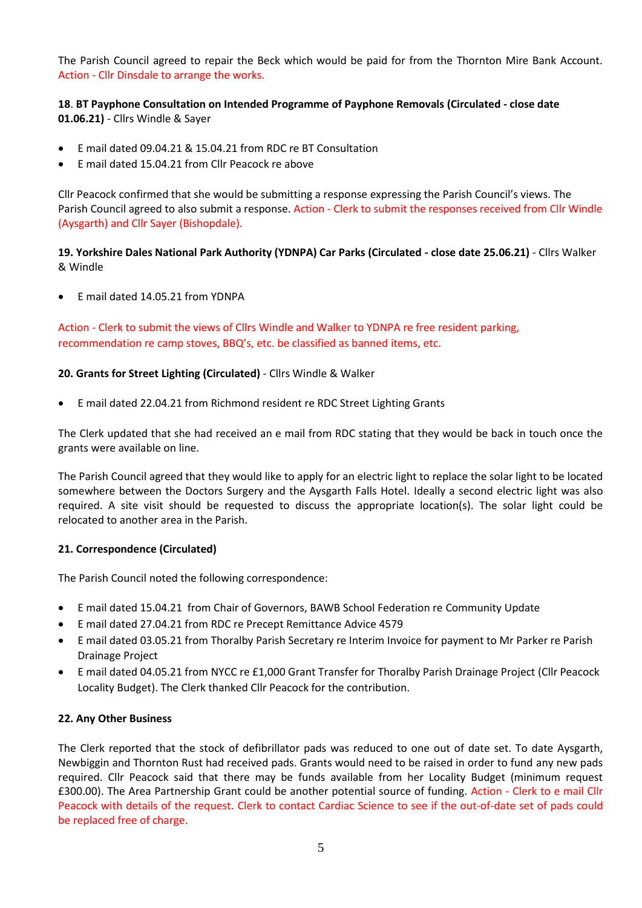The Parish Council agreed to repair the Beck which would be paid for from the Thornton Mire Bank Account. Action - Cllr Dinsdale to arrange the works.

**18**. **BT Payphone Consultation on Intended Programme of Payphone Removals (Circulated - close date 01.06.21)** - Cllrs Windle & Sayer

- E mail dated 09.04.21 & 15.04.21 from RDC re BT Consultation
- E mail dated 15.04.21 from Cllr Peacock re above

Cllr Peacock confirmed that she would be submitting a response expressing the Parish Council's views. The Parish Council agreed to also submit a response. Action - Clerk to submit the responses received from Cllr Windle (Aysgarth) and Cllr Sayer (Bishopdale).

**19. Yorkshire Dales National Park Authority (YDNPA) Car Parks (Circulated - close date 25.06.21)** - Cllrs Walker & Windle

E mail dated 14.05.21 from YDNPA

Action - Clerk to submit the views of Cllrs Windle and Walker to YDNPA re free resident parking, recommendation re camp stoves, BBQ's, etc. be classified as banned items, etc.

# **20. Grants for Street Lighting (Circulated)** - Cllrs Windle & Walker

E mail dated 22.04.21 from Richmond resident re RDC Street Lighting Grants

The Clerk updated that she had received an e mail from RDC stating that they would be back in touch once the grants were available on line.

The Parish Council agreed that they would like to apply for an electric light to replace the solar light to be located somewhere between the Doctors Surgery and the Aysgarth Falls Hotel. Ideally a second electric light was also required. A site visit should be requested to discuss the appropriate location(s). The solar light could be relocated to another area in the Parish.

#### **21. Correspondence (Circulated)**

The Parish Council noted the following correspondence:

- E mail dated 15.04.21 from Chair of Governors, BAWB School Federation re Community Update
- E mail dated 27.04.21 from RDC re Precept Remittance Advice 4579
- E mail dated 03.05.21 from Thoralby Parish Secretary re Interim Invoice for payment to Mr Parker re Parish Drainage Project
- E mail dated 04.05.21 from NYCC re £1,000 Grant Transfer for Thoralby Parish Drainage Project (Cllr Peacock Locality Budget). The Clerk thanked Cllr Peacock for the contribution.

#### **22. Any Other Business**

The Clerk reported that the stock of defibrillator pads was reduced to one out of date set. To date Aysgarth, Newbiggin and Thornton Rust had received pads. Grants would need to be raised in order to fund any new pads required. Cllr Peacock said that there may be funds available from her Locality Budget (minimum request £300.00). The Area Partnership Grant could be another potential source of funding. Action - Clerk to e mail Cllr Peacock with details of the request. Clerk to contact Cardiac Science to see if the out-of-date set of pads could be replaced free of charge.